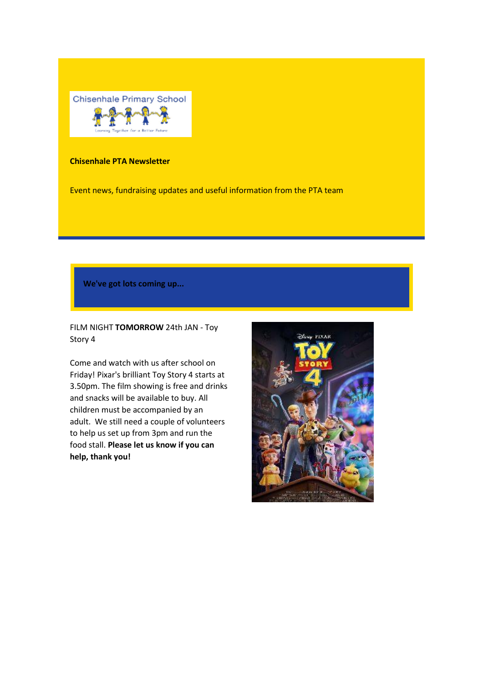

## **Chisenhale PTA Newsletter**

Event news, fundraising updates and useful information from the PTA team

**We've got lots coming up...**

FILM NIGHT **TOMORROW** 24th JAN - Toy Story 4

Come and watch with us after school on Friday! Pixar's brilliant Toy Story 4 starts at 3.50pm. The film showing is free and drinks and snacks will be available to buy. All children must be accompanied by an adult. We still need a couple of volunteers to help us set up from 3pm and run the food stall. **Please let us know if you can help, thank you!**

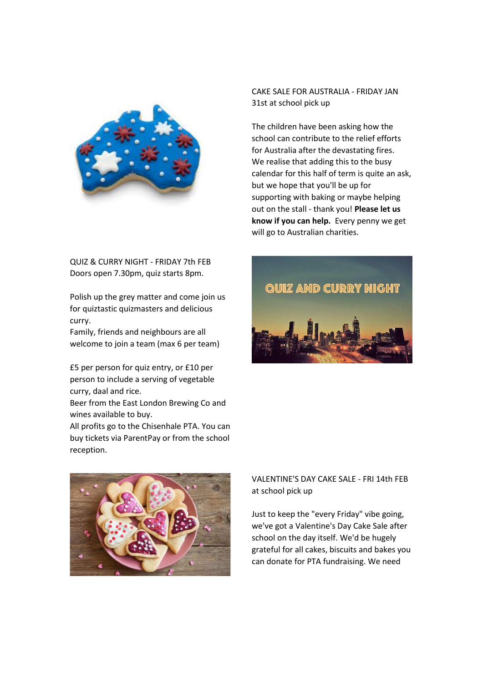

QUIZ & CURRY NIGHT - FRIDAY 7th FEB Doors open 7.30pm, quiz starts 8pm.

Polish up the grey matter and come join us for quiztastic quizmasters and delicious curry.

Family, friends and neighbours are all welcome to join a team (max 6 per team)

£5 per person for quiz entry, or £10 per person to include a serving of vegetable curry, daal and rice.

Beer from the East London Brewing Co and wines available to buy.

All profits go to the Chisenhale PTA. You can buy tickets via ParentPay or from the school reception.

CAKE SALE FOR AUSTRALIA - FRIDAY JAN 31st at school pick up

The children have been asking how the school can contribute to the relief efforts for Australia after the devastating fires. We realise that adding this to the busy calendar for this half of term is quite an ask, but we hope that you'll be up for supporting with baking or maybe helping out on the stall - thank you! **Please let us know if you can help.** Every penny we get will go to Australian charities.





VALENTINE'S DAY CAKE SALE - FRI 14th FEB at school pick up

Just to keep the "every Friday" vibe going, we've got a Valentine's Day Cake Sale after school on the day itself. We'd be hugely grateful for all cakes, biscuits and bakes you can donate for PTA fundraising. We need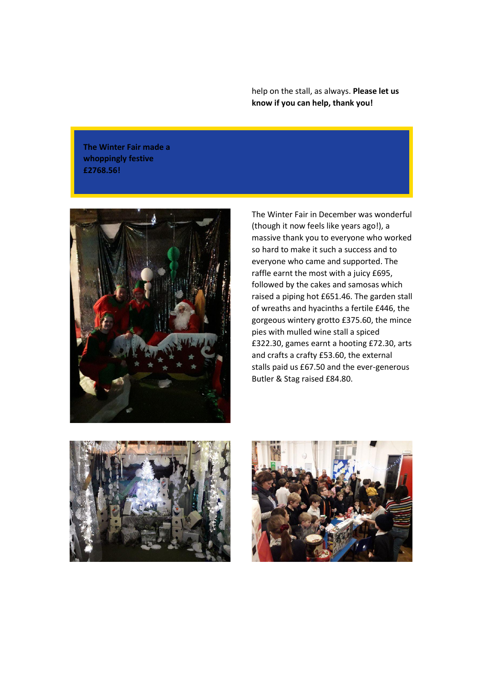help on the stall, as always. **Please let us know if you can help, thank you!**

**The Winter Fair made a whoppingly festive £2768.56!**



The Winter Fair in December was wonderful (though it now feels like years ago!), a massive thank you to everyone who worked so hard to make it such a success and to everyone who came and supported. The raffle earnt the most with a juicy £695, followed by the cakes and samosas which raised a piping hot £651.46. The garden stall of wreaths and hyacinths a fertile £446, the gorgeous wintery grotto £375.60, the mince pies with mulled wine stall a spiced £322.30, games earnt a hooting £72.30, arts and crafts a crafty £53.60, the external stalls paid us £67.50 and the ever-generous Butler & Stag raised £84.80.



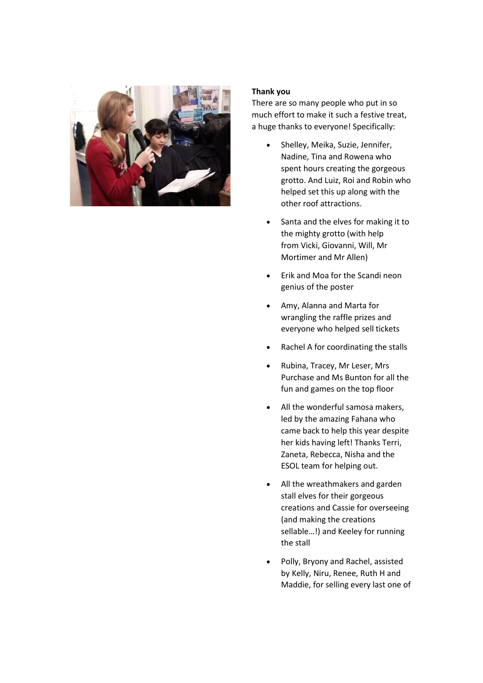

## **Thank you**

There are so many people who put in so much effort to make it such a festive treat, a huge thanks to everyone! Specifically:

- Shelley, Meika, Suzie, Jennifer, Nadine, Tina and Rowena who spent hours creating the gorgeous grotto. And Luiz, Roi and Robin who helped set this up along with the other roof attractions.
- Santa and the elves for making it to the mighty grotto (with help from Vicki, Giovanni, Will, Mr Mortimer and Mr Allen)
- Erik and Moa for the Scandi neon genius of the poster
- Amy, Alanna and Marta for wrangling the raffle prizes and everyone who helped sell tickets
- Rachel A for coordinating the stalls
- Rubina, Tracey, Mr Leser, Mrs Purchase and Ms Bunton for all the fun and games on the top floor
- All the wonderful samosa makers. led by the amazing Fahana who came back to help this year despite her kids having left! Thanks Terri, Zaneta, Rebecca, Nisha and the ESOL team for helping out.
- All the wreathmakers and garden stall elves for their gorgeous creations and Cassie for overseeing (and making the creations sellable…!) and Keeley for running the stall
- Polly, Bryony and Rachel, assisted by Kelly, Niru, Renee, Ruth H and Maddie, for selling every last one of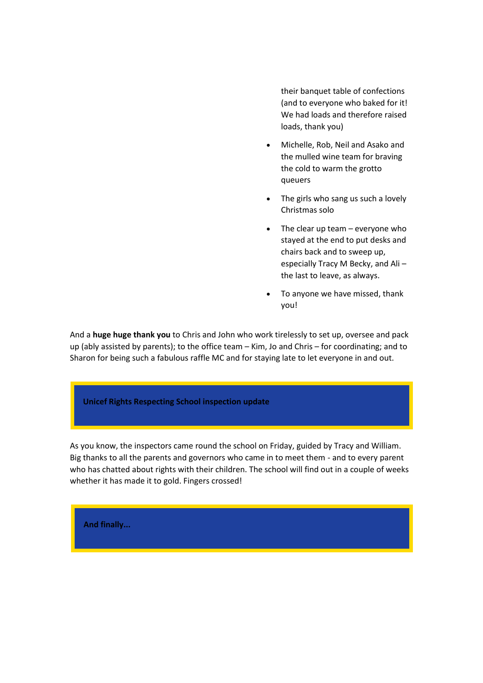their banquet table of confections (and to everyone who baked for it! We had loads and therefore raised loads, thank you)

- Michelle, Rob, Neil and Asako and the mulled wine team for braving the cold to warm the grotto queuers
- The girls who sang us such a lovely Christmas solo
- $\bullet$  The clear up team everyone who stayed at the end to put desks and chairs back and to sweep up, especially Tracy M Becky, and Ali – the last to leave, as always.
- To anyone we have missed, thank you!

And a **huge huge thank you** to Chris and John who work tirelessly to set up, oversee and pack up (ably assisted by parents); to the office team – Kim, Jo and Chris – for coordinating; and to Sharon for being such a fabulous raffle MC and for staying late to let everyone in and out.

## **Unicef Rights Respecting School inspection update**

As you know, the inspectors came round the school on Friday, guided by Tracy and William. Big thanks to all the parents and governors who came in to meet them - and to every parent who has chatted about rights with their children. The school will find out in a couple of weeks whether it has made it to gold. Fingers crossed!

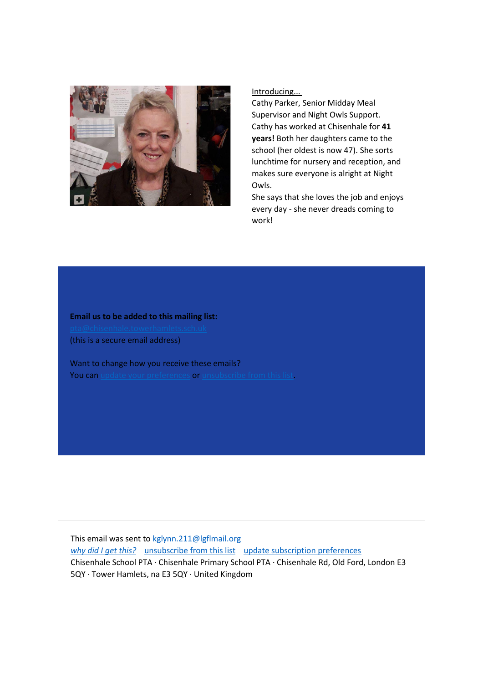

Introducing...

Cathy Parker, Senior Midday Meal Supervisor and Night Owls Support. Cathy has worked at Chisenhale for **41 years!** Both her daughters came to the school (her oldest is now 47). She sorts lunchtime for nursery and reception, and makes sure everyone is alright at Night Owls.

She says that she loves the job and enjoys every day - she never dreads coming to work!

**Email us to be added to this mailing list:** (this is a secure email address)

Want to change how you receive these emails? You can [update your preferences](https://gmail.us4.list-manage.com/profile?u=1b6061503c774c4e18092b369&id=bf842378d8&e=e1aabb3b2b) or [unsubscribe from this list.](https://gmail.us4.list-manage.com/unsubscribe?u=1b6061503c774c4e18092b369&id=bf842378d8&e=e1aabb3b2b&c=ce58a66e3d)

This email was sent to [kglynn.211@lgflmail.org](mailto:kglynn.211@lgflmail.org) [why did I get this?](https://gmail.us4.list-manage.com/about?u=1b6061503c774c4e18092b369&id=bf842378d8&e=e1aabb3b2b&c=ce58a66e3d) [unsubscribe from this list](https://gmail.us4.list-manage.com/unsubscribe?u=1b6061503c774c4e18092b369&id=bf842378d8&e=e1aabb3b2b&c=ce58a66e3d) [update subscription preferences](https://gmail.us4.list-manage.com/profile?u=1b6061503c774c4e18092b369&id=bf842378d8&e=e1aabb3b2b) Chisenhale School PTA · Chisenhale Primary School PTA · Chisenhale Rd, Old Ford, London E3 5QY · Tower Hamlets, na E3 5QY · United Kingdom